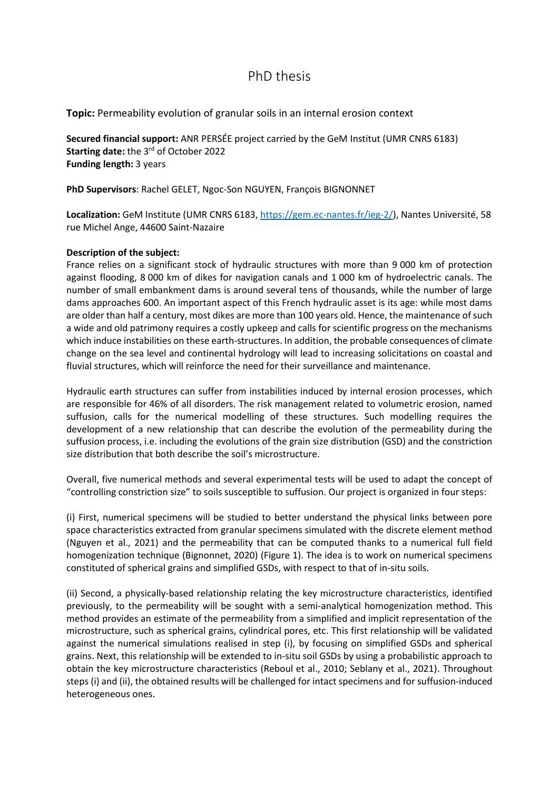## PhD thesis

**Topic:** Permeability evolution of granular soils in an internal erosion context

**Secured financial support:** ANR PERSÉE project carried by the GeM Institut (UMR CNRS 6183) **Starting date:** the 3rd of October 2022 **Funding length:** 3 years

**PhD Supervisors**: Rachel GELET, Ngoc-Son NGUYEN, François BIGNONNET

Localization: GeM Institute (UMR CNRS 6183, [https://gem.ec-nantes.fr/ieg-2/\)](https://gem.ec-nantes.fr/ieg-2/), Nantes Université, 58 rue Michel Ange, 44600 Saint-Nazaire

## **Description of the subject:**

France relies on a significant stock of hydraulic structures with more than 9 000 km of protection against flooding, 8 000 km of dikes for navigation canals and 1 000 km of hydroelectric canals. The number of small embankment dams is around several tens of thousands, while the number of large dams approaches 600. An important aspect of this French hydraulic asset is its age: while most dams are older than half a century, most dikes are more than 100 years old. Hence, the maintenance of such a wide and old patrimony requires a costly upkeep and calls for scientific progress on the mechanisms which induce instabilities on these earth-structures. In addition, the probable consequences of climate change on the sea level and continental hydrology will lead to increasing solicitations on coastal and fluvial structures, which will reinforce the need for their surveillance and maintenance.

Hydraulic earth structures can suffer from instabilities induced by internal erosion processes, which are responsible for 46% of all disorders. The risk management related to volumetric erosion, named suffusion, calls for the numerical modelling of these structures. Such modelling requires the development of a new relationship that can describe the evolution of the permeability during the suffusion process, i.e. including the evolutions of the grain size distribution (GSD) and the constriction size distribution that both describe the soil's microstructure.

Overall, five numerical methods and several experimental tests will be used to adapt the concept of "controlling constriction size" to soils susceptible to suffusion. Our project is organized in four steps:

(i) First, numerical specimens will be studied to better understand the physical links between pore space characteristics extracted from granular specimens simulated with the discrete element method (Nguyen et al., 2021) and the permeability that can be computed thanks to a numerical full field homogenization technique (Bignonnet, 2020) (Figure 1). The idea is to work on numerical specimens constituted of spherical grains and simplified GSDs, with respect to that of in-situ soils.

(ii) Second, a physically-based relationship relating the key microstructure characteristics, identified previously, to the permeability will be sought with a semi-analytical homogenization method. This method provides an estimate of the permeability from a simplified and implicit representation of the microstructure, such as spherical grains, cylindrical pores, etc. This first relationship will be validated against the numerical simulations realised in step (i), by focusing on simplified GSDs and spherical grains. Next, this relationship will be extended to in-situ soil GSDs by using a probabilistic approach to obtain the key microstructure characteristics (Reboul et al., 2010; Seblany et al., 2021). Throughout steps (i) and (ii), the obtained results will be challenged for intact specimens and for suffusion-induced heterogeneous ones.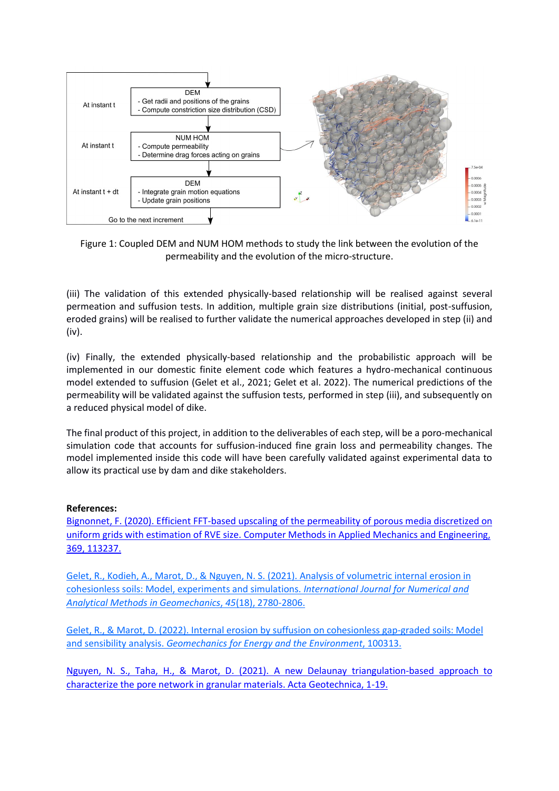

Figure 1: Coupled DEM and NUM HOM methods to study the link between the evolution of the permeability and the evolution of the micro-structure.

(iii) The validation of this extended physically-based relationship will be realised against several permeation and suffusion tests. In addition, multiple grain size distributions (initial, post-suffusion, eroded grains) will be realised to further validate the numerical approaches developed in step (ii) and (iv).

(iv) Finally, the extended physically-based relationship and the probabilistic approach will be implemented in our domestic finite element code which features a hydro-mechanical continuous model extended to suffusion (Gelet et al., 2021; Gelet et al. 2022). The numerical predictions of the permeability will be validated against the suffusion tests, performed in step (iii), and subsequently on a reduced physical model of dike.

The final product of this project, in addition to the deliverables of each step, will be a poro-mechanical simulation code that accounts for suffusion-induced fine grain loss and permeability changes. The model implemented inside this code will have been carefully validated against experimental data to allow its practical use by dam and dike stakeholders.

#### **References:**

[Bignonnet, F. \(2020\). Efficient FFT-based upscaling of the permeability of porous media discretized on](https://www-sciencedirect-com.budistant.univ-nantes.fr/science/article/pii/S0045782520304229?via%3Dihub)  [uniform grids with estimation of RVE size. Computer Methods in Applied Mechanics and Engineering,](https://www-sciencedirect-com.budistant.univ-nantes.fr/science/article/pii/S0045782520304229?via%3Dihub)  [369, 113237.](https://www-sciencedirect-com.budistant.univ-nantes.fr/science/article/pii/S0045782520304229?via%3Dihub)

[Gelet, R., Kodieh, A., Marot, D., & Nguyen, N. S. \(2021\). Analysis of volumetric internal erosion in](https://onlinelibrary.wiley.com/doi/pdf/10.1002/nag.3286)  [cohesionless soils: Model, experiments and simulations.](https://onlinelibrary.wiley.com/doi/pdf/10.1002/nag.3286) *International Journal for Numerical and [Analytical Methods in Geomechanics](https://onlinelibrary.wiley.com/doi/pdf/10.1002/nag.3286)*, *45*(18), 2780-2806.

[Gelet, R., & Marot, D. \(2022\). Internal erosion by suffusion on cohesionless gap-graded soils: Model](https://www.sciencedirect.com/science/article/pii/S235238082200003X)  and sensibility analysis. *[Geomechanics for Energy and the Environment](https://www.sciencedirect.com/science/article/pii/S235238082200003X)*, 100313.

[Nguyen, N. S., Taha, H., & Marot, D. \(2021\). A new Delaunay triangulation-based approach to](https://www.researchgate.net/profile/Ngoc-Son-Nguyen-2/publication/349394796_A_new_Delaunay_triangulation_based_approach_to_characterize_the_pore_network_in_granular_materials/links/602e29e092851c4ed57c3a36/A-new-Delaunay-triangulation-based-approach-to-characterize-the-pore-network-in-granular-materials.pdf)  [characterize the pore network in granular materials. Acta Geotechnica, 1-19.](https://www.researchgate.net/profile/Ngoc-Son-Nguyen-2/publication/349394796_A_new_Delaunay_triangulation_based_approach_to_characterize_the_pore_network_in_granular_materials/links/602e29e092851c4ed57c3a36/A-new-Delaunay-triangulation-based-approach-to-characterize-the-pore-network-in-granular-materials.pdf)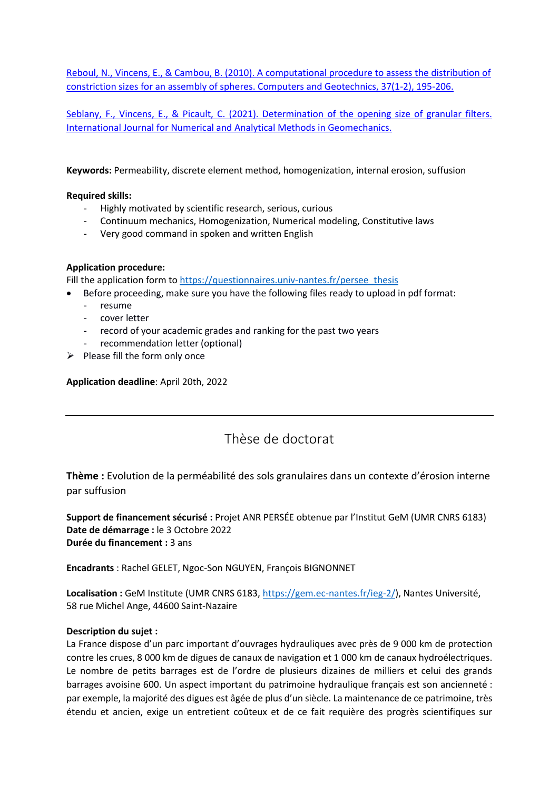[Reboul, N., Vincens, E., & Cambou, B. \(2010\). A computational procedure to assess the distribution of](https://www-sciencedirect-com.budistant.univ-nantes.fr/science/article/pii/S0266352X09001566?via%3Dihub)  [constriction sizes for an assembly of spheres. Computers and Geotechnics, 37\(1-2\), 195-206.](https://www-sciencedirect-com.budistant.univ-nantes.fr/science/article/pii/S0266352X09001566?via%3Dihub)

[Seblany, F., Vincens, E., & Picault, C. \(2021\). Determination of the opening size of granular filters.](https://onlinelibrary.wiley.com/doi/pdf/10.1002/nag.3198)  [International Journal for Numerical and](https://onlinelibrary.wiley.com/doi/pdf/10.1002/nag.3198) Analytical Methods in Geomechanics.

**Keywords:** Permeability, discrete element method, homogenization, internal erosion, suffusion

#### **Required skills:**

- Highly motivated by scientific research, serious, curious
- Continuum mechanics, Homogenization, Numerical modeling, Constitutive laws
- Very good command in spoken and written English

## **Application procedure:**

Fill the application form t[o https://questionnaires.univ-nantes.fr/persee\\_thesis](https://questionnaires.univ-nantes.fr/index.php/983331?lang=en)

- Before proceeding, make sure you have the following files ready to upload in pdf format:
	- resume
	- cover letter
	- record of your academic grades and ranking for the past two years
	- recommendation letter (optional)
- $\triangleright$  Please fill the form only once

**Application deadline**: April 20th, 2022

# Thèse de doctorat

**Thème :** Evolution de la perméabilité des sols granulaires dans un contexte d'érosion interne par suffusion

**Support de financement sécurisé :** Projet ANR PERSÉE obtenue par l'Institut GeM (UMR CNRS 6183) **Date de démarrage :** le 3 Octobre 2022 **Durée du financement :** 3 ans

**Encadrants** : Rachel GELET, Ngoc-Son NGUYEN, François BIGNONNET

**Localisation :** GeM Institute (UMR CNRS 6183, [https://gem.ec-nantes.fr/ieg-2/\)](https://gem.ec-nantes.fr/ieg-2/), Nantes Université, 58 rue Michel Ange, 44600 Saint-Nazaire

#### **Description du sujet :**

La France dispose d'un parc important d'ouvrages hydrauliques avec près de 9 000 km de protection contre les crues, 8 000 km de digues de canaux de navigation et 1 000 km de canaux hydroélectriques. Le nombre de petits barrages est de l'ordre de plusieurs dizaines de milliers et celui des grands barrages avoisine 600. Un aspect important du patrimoine hydraulique français est son ancienneté : par exemple, la majorité des digues est âgée de plus d'un siècle. La maintenance de ce patrimoine, très étendu et ancien, exige un entretient coûteux et de ce fait requière des progrès scientifiques sur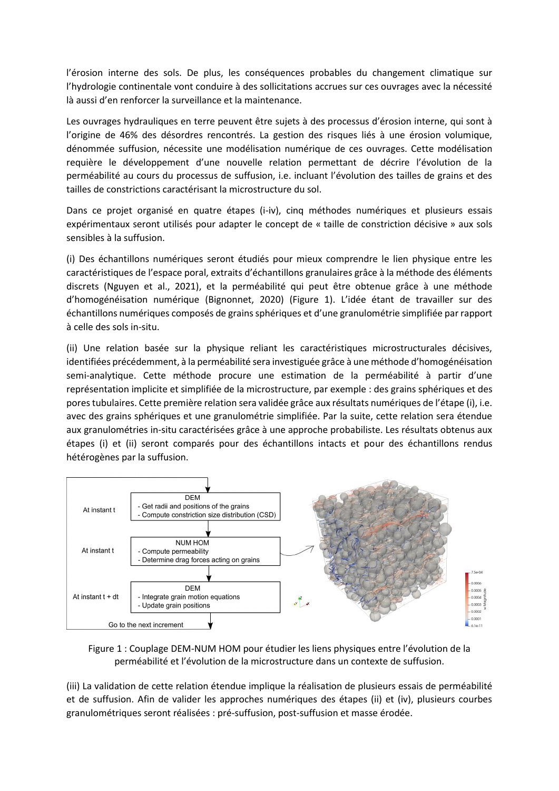l'érosion interne des sols. De plus, les conséquences probables du changement climatique sur l'hydrologie continentale vont conduire à des sollicitations accrues sur ces ouvrages avec la nécessité là aussi d'en renforcer la surveillance et la maintenance.

Les ouvrages hydrauliques en terre peuvent être sujets à des processus d'érosion interne, qui sont à l'origine de 46% des désordres rencontrés. La gestion des risques liés à une érosion volumique, dénommée suffusion, nécessite une modélisation numérique de ces ouvrages. Cette modélisation requière le développement d'une nouvelle relation permettant de décrire l'évolution de la perméabilité au cours du processus de suffusion, i.e. incluant l'évolution des tailles de grains et des tailles de constrictions caractérisant la microstructure du sol.

Dans ce projet organisé en quatre étapes (i-iv), cinq méthodes numériques et plusieurs essais expérimentaux seront utilisés pour adapter le concept de « taille de constriction décisive » aux sols sensibles à la suffusion.

(i) Des échantillons numériques seront étudiés pour mieux comprendre le lien physique entre les caractéristiques de l'espace poral, extraits d'échantillons granulaires grâce à la méthode des éléments discrets (Nguyen et al., 2021), et la perméabilité qui peut être obtenue grâce à une méthode d'homogénéisation numérique (Bignonnet, 2020) (Figure 1). L'idée étant de travailler sur des échantillons numériques composés de grains sphériques et d'une granulométrie simplifiée par rapport à celle des sols in-situ.

(ii) Une relation basée sur la physique reliant les caractéristiques microstructurales décisives, identifiées précédemment, à la perméabilité sera investiguée grâce à une méthode d'homogénéisation semi-analytique. Cette méthode procure une estimation de la perméabilité à partir d'une représentation implicite et simplifiée de la microstructure, par exemple : des grains sphériques et des pores tubulaires. Cette première relation sera validée grâce aux résultats numériques de l'étape (i), i.e. avec des grains sphériques et une granulométrie simplifiée. Par la suite, cette relation sera étendue aux granulométries in-situ caractérisées grâce à une approche probabiliste. Les résultats obtenus aux étapes (i) et (ii) seront comparés pour des échantillons intacts et pour des échantillons rendus hétérogènes par la suffusion.



Figure 1 : Couplage DEM-NUM HOM pour étudier les liens physiques entre l'évolution de la perméabilité et l'évolution de la microstructure dans un contexte de suffusion.

(iii) La validation de cette relation étendue implique la réalisation de plusieurs essais de perméabilité et de suffusion. Afin de valider les approches numériques des étapes (ii) et (iv), plusieurs courbes granulométriques seront réalisées : pré-suffusion, post-suffusion et masse érodée.